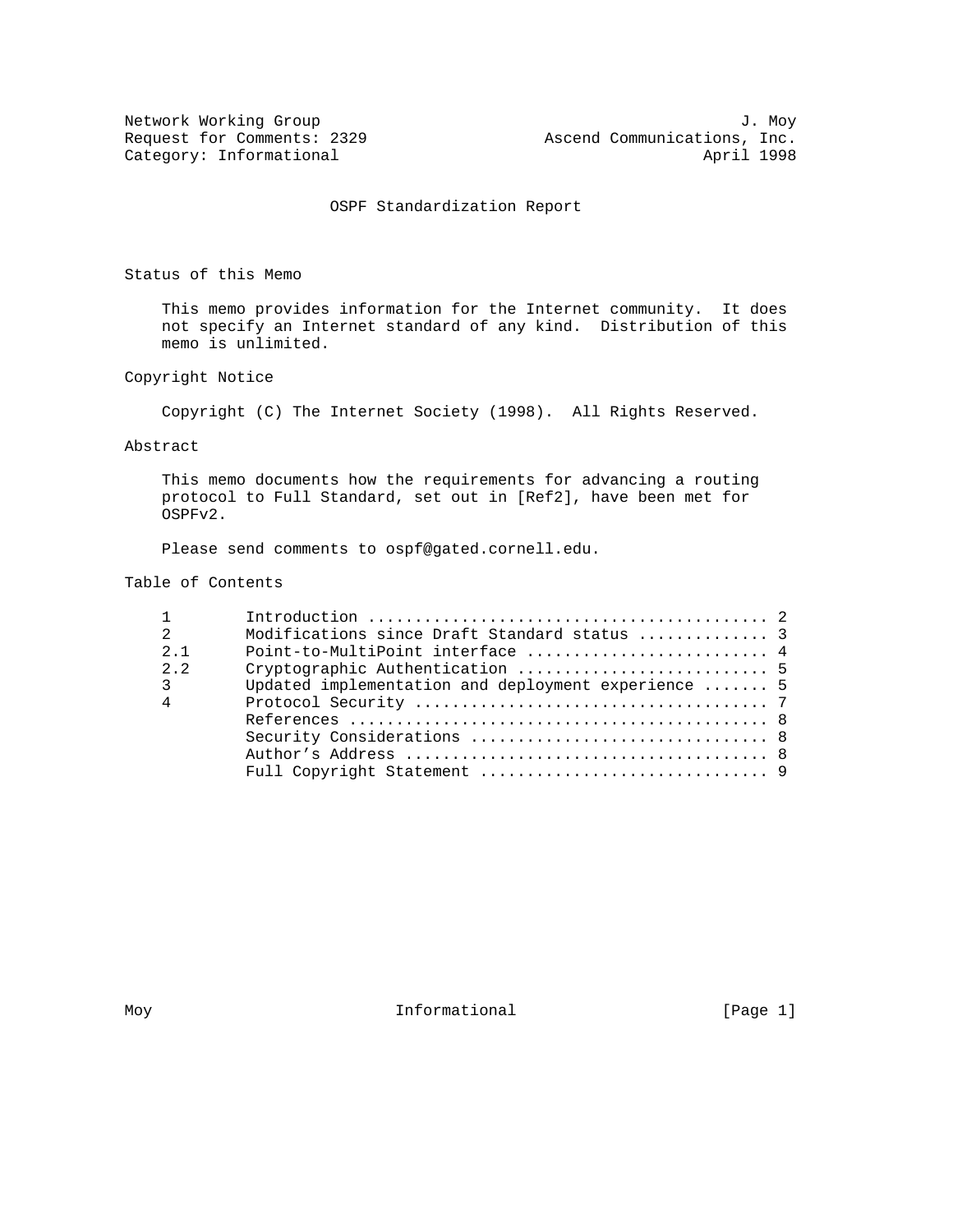OSPF Standardization Report

Status of this Memo

 This memo provides information for the Internet community. It does not specify an Internet standard of any kind. Distribution of this memo is unlimited.

Copyright Notice

Copyright (C) The Internet Society (1998). All Rights Reserved.

#### Abstract

 This memo documents how the requirements for advancing a routing protocol to Full Standard, set out in [Ref2], have been met for OSPFv2.

Please send comments to ospf@gated.cornell.edu.

#### Table of Contents

| $\mathcal{L}$   | Modifications since Draft Standard status  3        |  |
|-----------------|-----------------------------------------------------|--|
| $2 \quad 1$     |                                                     |  |
| 2.2             |                                                     |  |
| 3               | Updated implementation and deployment experience  5 |  |
| $4\overline{4}$ |                                                     |  |
|                 |                                                     |  |
|                 |                                                     |  |
|                 |                                                     |  |
|                 |                                                     |  |

Moy **Informational** [Page 1]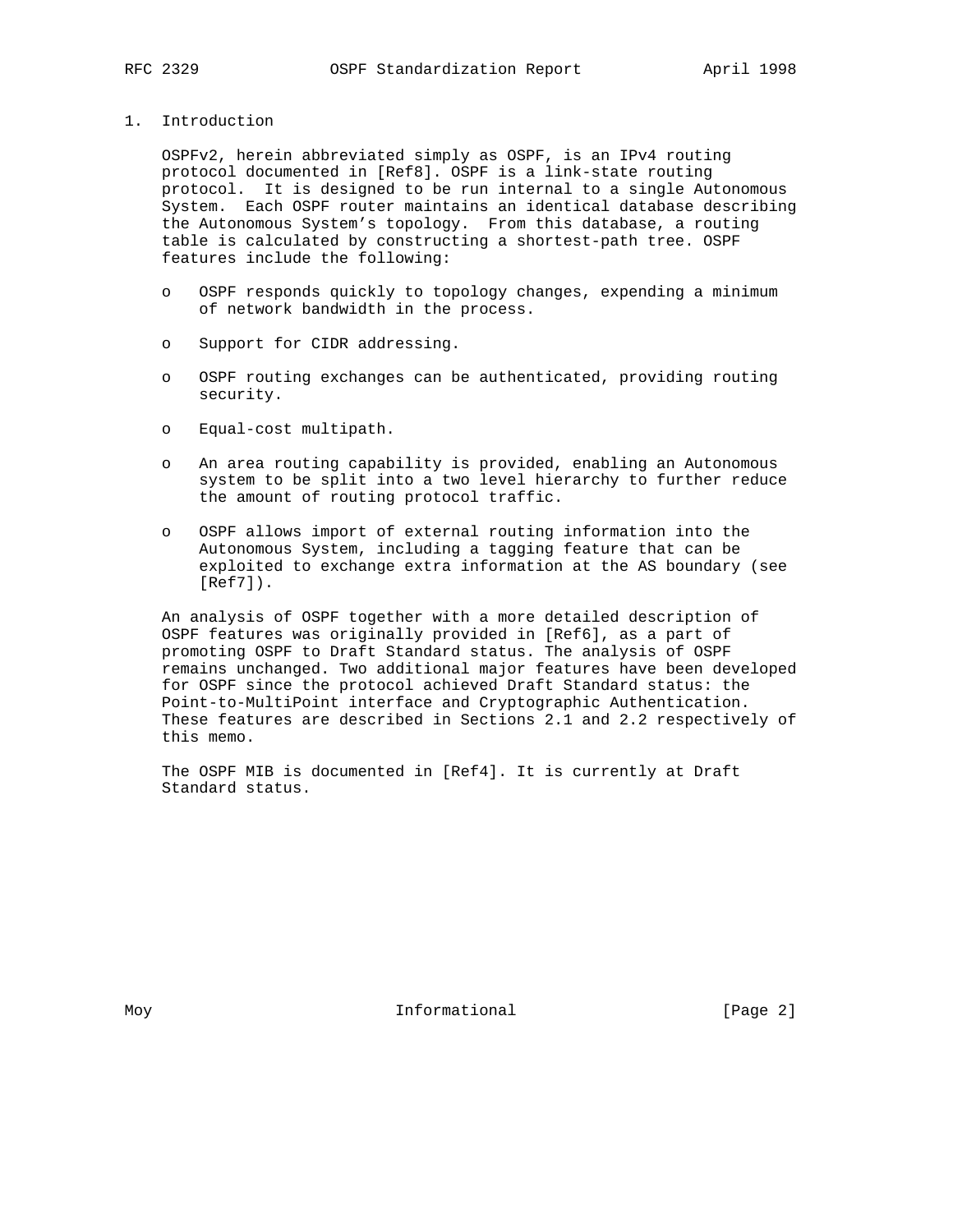1. Introduction

 OSPFv2, herein abbreviated simply as OSPF, is an IPv4 routing protocol documented in [Ref8]. OSPF is a link-state routing protocol. It is designed to be run internal to a single Autonomous System. Each OSPF router maintains an identical database describing the Autonomous System's topology. From this database, a routing table is calculated by constructing a shortest-path tree. OSPF features include the following:

- o OSPF responds quickly to topology changes, expending a minimum of network bandwidth in the process.
- o Support for CIDR addressing.
- o OSPF routing exchanges can be authenticated, providing routing security.
- o Equal-cost multipath.
- o An area routing capability is provided, enabling an Autonomous system to be split into a two level hierarchy to further reduce the amount of routing protocol traffic.
- o OSPF allows import of external routing information into the Autonomous System, including a tagging feature that can be exploited to exchange extra information at the AS boundary (see [Ref7]).

 An analysis of OSPF together with a more detailed description of OSPF features was originally provided in [Ref6], as a part of promoting OSPF to Draft Standard status. The analysis of OSPF remains unchanged. Two additional major features have been developed for OSPF since the protocol achieved Draft Standard status: the Point-to-MultiPoint interface and Cryptographic Authentication. These features are described in Sections 2.1 and 2.2 respectively of this memo.

 The OSPF MIB is documented in [Ref4]. It is currently at Draft Standard status.

Moy **Informational Informational** [Page 2]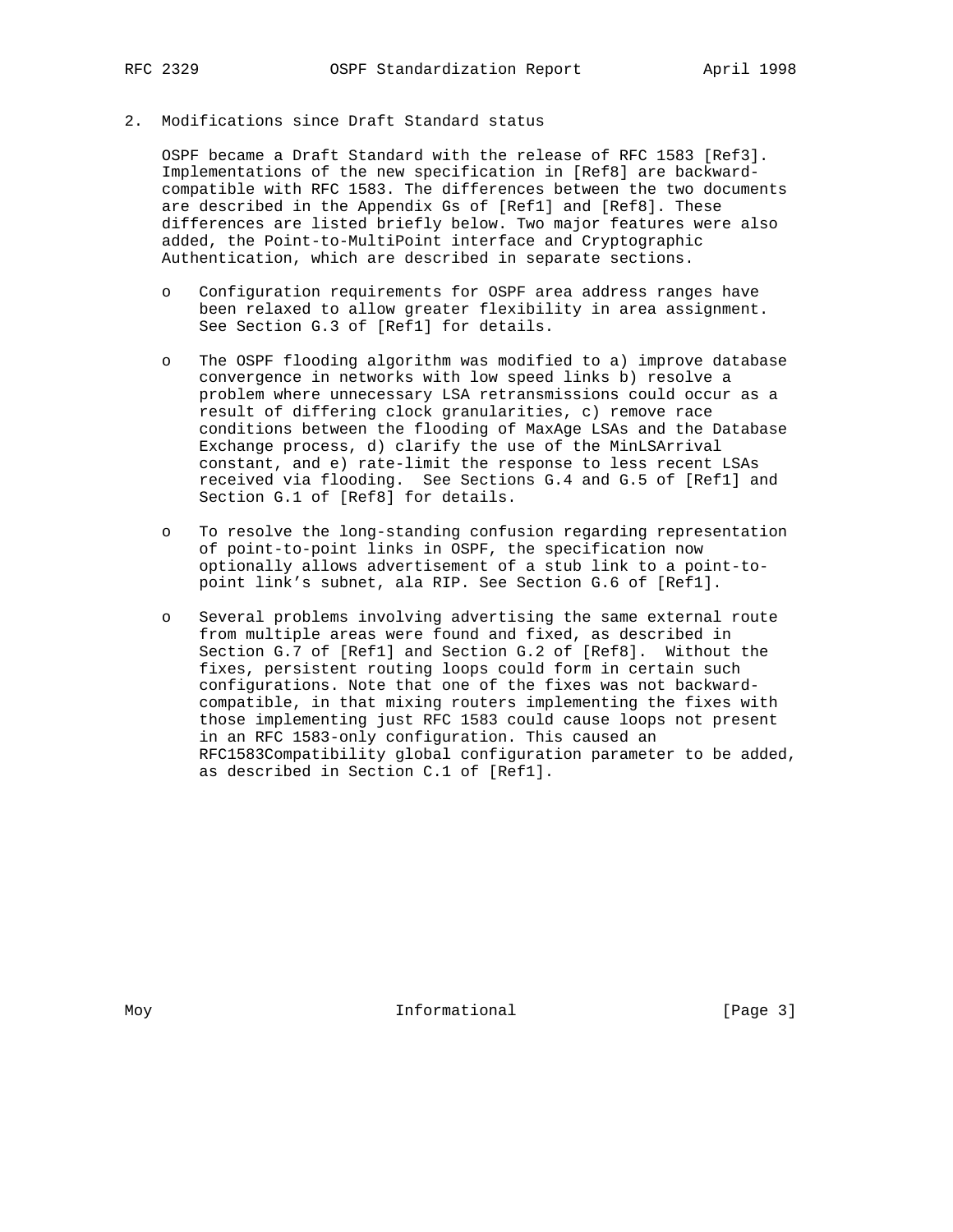## 2. Modifications since Draft Standard status

 OSPF became a Draft Standard with the release of RFC 1583 [Ref3]. Implementations of the new specification in [Ref8] are backward compatible with RFC 1583. The differences between the two documents are described in the Appendix Gs of [Ref1] and [Ref8]. These differences are listed briefly below. Two major features were also added, the Point-to-MultiPoint interface and Cryptographic Authentication, which are described in separate sections.

- o Configuration requirements for OSPF area address ranges have been relaxed to allow greater flexibility in area assignment. See Section G.3 of [Ref1] for details.
- o The OSPF flooding algorithm was modified to a) improve database convergence in networks with low speed links b) resolve a problem where unnecessary LSA retransmissions could occur as a result of differing clock granularities, c) remove race conditions between the flooding of MaxAge LSAs and the Database Exchange process, d) clarify the use of the MinLSArrival constant, and e) rate-limit the response to less recent LSAs received via flooding. See Sections G.4 and G.5 of [Ref1] and Section G.1 of [Ref8] for details.
- o To resolve the long-standing confusion regarding representation of point-to-point links in OSPF, the specification now optionally allows advertisement of a stub link to a point-to point link's subnet, ala RIP. See Section G.6 of [Ref1].
- o Several problems involving advertising the same external route from multiple areas were found and fixed, as described in Section G.7 of [Ref1] and Section G.2 of [Ref8]. Without the fixes, persistent routing loops could form in certain such configurations. Note that one of the fixes was not backward compatible, in that mixing routers implementing the fixes with those implementing just RFC 1583 could cause loops not present in an RFC 1583-only configuration. This caused an RFC1583Compatibility global configuration parameter to be added, as described in Section C.1 of [Ref1].

Moy **Informational** [Page 3]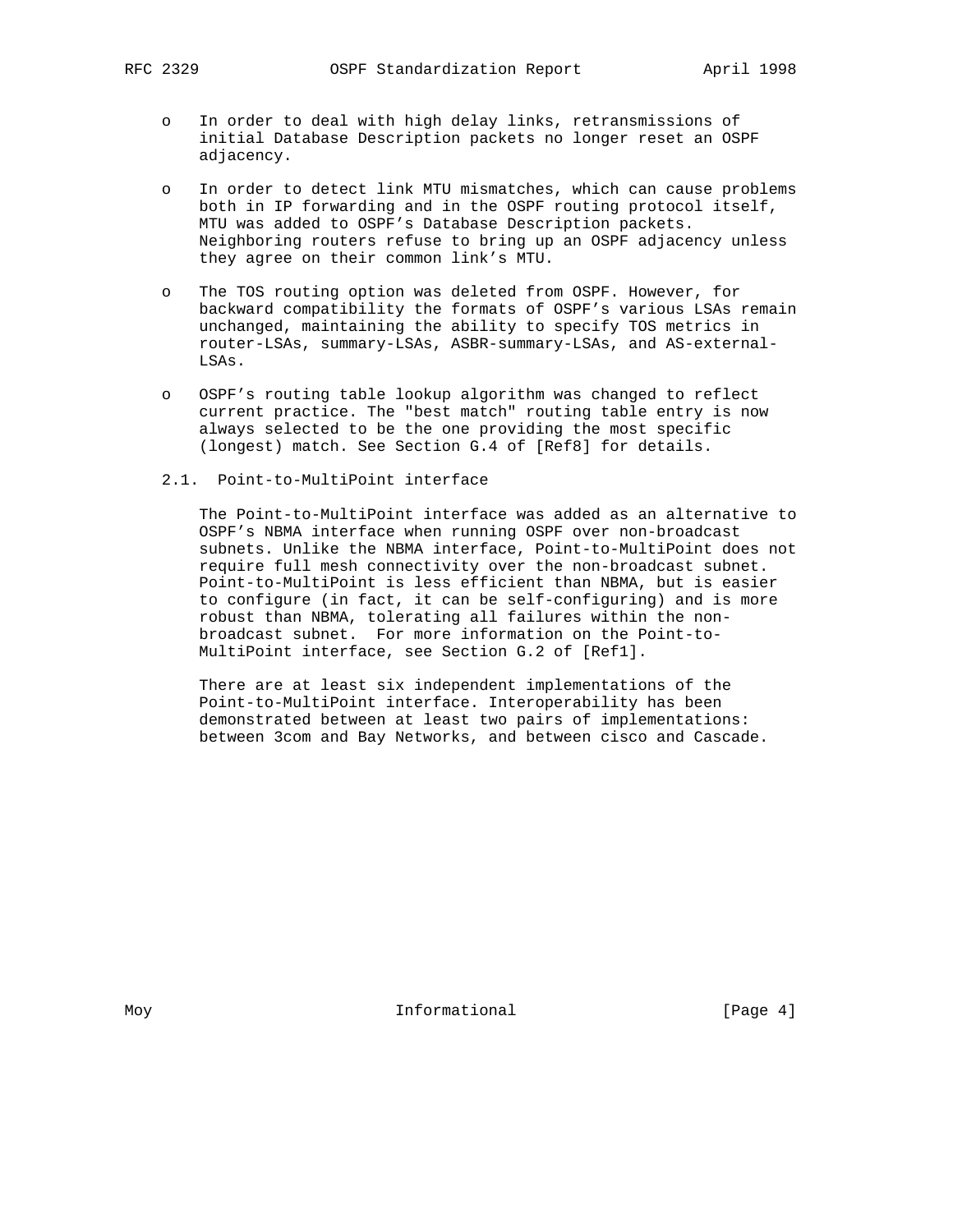- o In order to deal with high delay links, retransmissions of initial Database Description packets no longer reset an OSPF adjacency.
- o In order to detect link MTU mismatches, which can cause problems both in IP forwarding and in the OSPF routing protocol itself, MTU was added to OSPF's Database Description packets. Neighboring routers refuse to bring up an OSPF adjacency unless they agree on their common link's MTU.
- o The TOS routing option was deleted from OSPF. However, for backward compatibility the formats of OSPF's various LSAs remain unchanged, maintaining the ability to specify TOS metrics in router-LSAs, summary-LSAs, ASBR-summary-LSAs, and AS-external- LSAs.
- o OSPF's routing table lookup algorithm was changed to reflect current practice. The "best match" routing table entry is now always selected to be the one providing the most specific (longest) match. See Section G.4 of [Ref8] for details.
- 2.1. Point-to-MultiPoint interface

 The Point-to-MultiPoint interface was added as an alternative to OSPF's NBMA interface when running OSPF over non-broadcast subnets. Unlike the NBMA interface, Point-to-MultiPoint does not require full mesh connectivity over the non-broadcast subnet. Point-to-MultiPoint is less efficient than NBMA, but is easier to configure (in fact, it can be self-configuring) and is more robust than NBMA, tolerating all failures within the non broadcast subnet. For more information on the Point-to- MultiPoint interface, see Section G.2 of [Ref1].

 There are at least six independent implementations of the Point-to-MultiPoint interface. Interoperability has been demonstrated between at least two pairs of implementations: between 3com and Bay Networks, and between cisco and Cascade.

Moy **Informational Informational** [Page 4]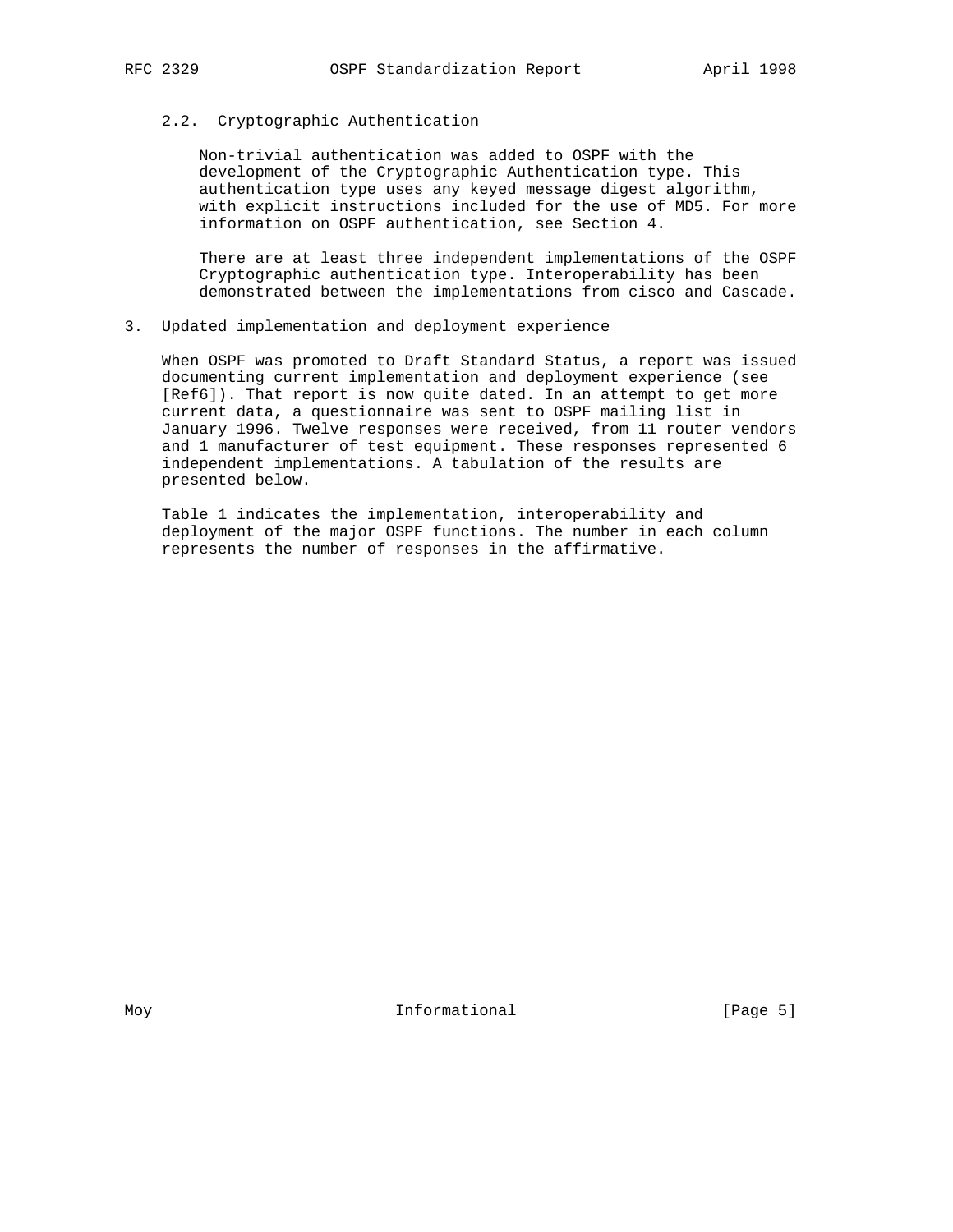#### 2.2. Cryptographic Authentication

 Non-trivial authentication was added to OSPF with the development of the Cryptographic Authentication type. This authentication type uses any keyed message digest algorithm, with explicit instructions included for the use of MD5. For more information on OSPF authentication, see Section 4.

 There are at least three independent implementations of the OSPF Cryptographic authentication type. Interoperability has been demonstrated between the implementations from cisco and Cascade.

3. Updated implementation and deployment experience

 When OSPF was promoted to Draft Standard Status, a report was issued documenting current implementation and deployment experience (see [Ref6]). That report is now quite dated. In an attempt to get more current data, a questionnaire was sent to OSPF mailing list in January 1996. Twelve responses were received, from 11 router vendors and 1 manufacturer of test equipment. These responses represented 6 independent implementations. A tabulation of the results are presented below.

 Table 1 indicates the implementation, interoperability and deployment of the major OSPF functions. The number in each column represents the number of responses in the affirmative.

Moy **Informational Informational** [Page 5]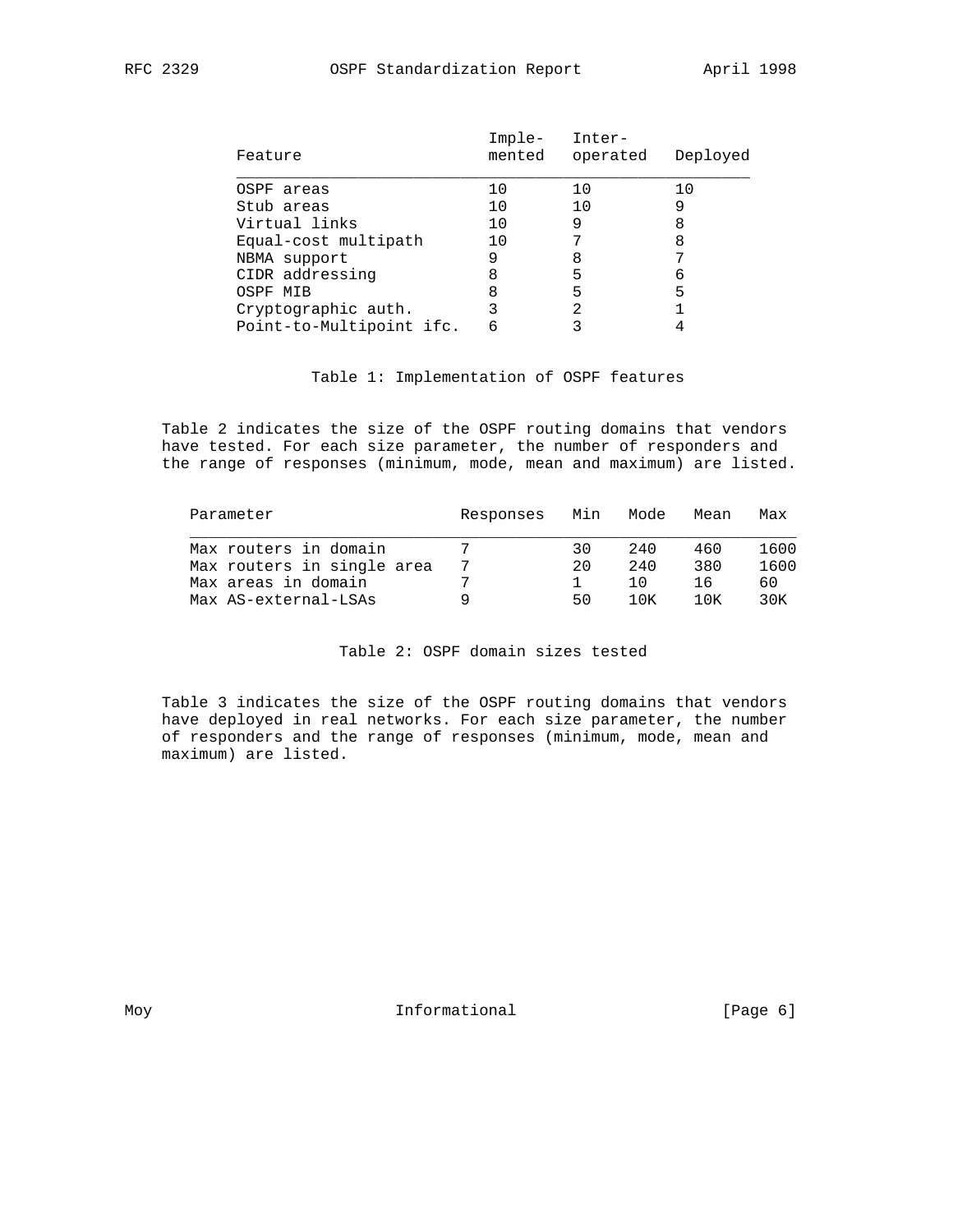| Feature                  | Imple-<br>mented | Inter-<br>operated | Deployed |
|--------------------------|------------------|--------------------|----------|
| OSPF areas               | 10               | 10                 | 10       |
| Stub areas               | 10               | 10                 |          |
| Virtual links            | 10               | 9                  |          |
| Equal-cost multipath     | 10               |                    | 8        |
| NBMA support             | 9                | 8                  |          |
| CIDR addressing          | 8                | 5                  | 6        |
| OSPF MIB                 | 8                | 5                  | 5        |
| Cryptographic auth.      |                  | 2                  |          |
| Point-to-Multipoint ifc. | 6                |                    |          |
|                          |                  |                    |          |

### Table 1: Implementation of OSPF features

 Table 2 indicates the size of the OSPF routing domains that vendors have tested. For each size parameter, the number of responders and the range of responses (minimum, mode, mean and maximum) are listed.

| Responses | Min | Mode | Mean  | Max  |
|-----------|-----|------|-------|------|
|           | 30  | 2.40 | 460   | 1600 |
|           | 20  | 240  | 380   | 1600 |
|           |     | 1 O  | 16    | 60   |
|           | 50  | 1 OK | 1 N K | 30K  |
|           |     |      |       |      |

### Table 2: OSPF domain sizes tested

 Table 3 indicates the size of the OSPF routing domains that vendors have deployed in real networks. For each size parameter, the number of responders and the range of responses (minimum, mode, mean and maximum) are listed.

Moy **Informational Informational** [Page 6]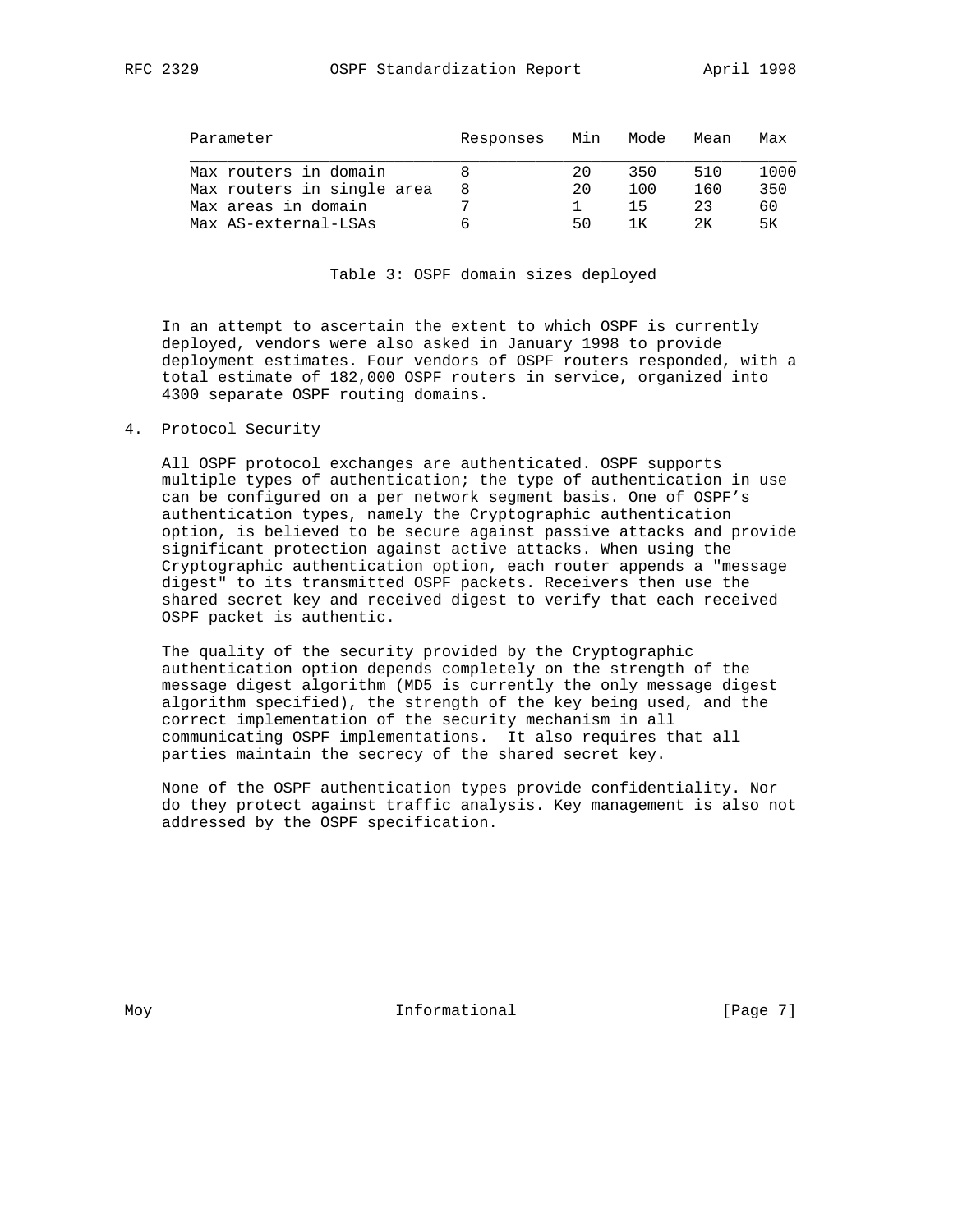| RFC 2329 |  |
|----------|--|
|          |  |

| Parameter                  | Responses | Min | Mode | Mean | Max  |
|----------------------------|-----------|-----|------|------|------|
| Max routers in domain      |           | 20  | 350  | 510  | 1000 |
| Max routers in single area | 8         | 2.0 | 100  | 160  | 350  |
| Max areas in domain        |           |     | 15   | 23   | 60   |
| Max AS-external-LSAs       |           | 50  |      | 2K   | 5К   |

### Table 3: OSPF domain sizes deployed

 In an attempt to ascertain the extent to which OSPF is currently deployed, vendors were also asked in January 1998 to provide deployment estimates. Four vendors of OSPF routers responded, with a total estimate of 182,000 OSPF routers in service, organized into 4300 separate OSPF routing domains.

#### 4. Protocol Security

 All OSPF protocol exchanges are authenticated. OSPF supports multiple types of authentication; the type of authentication in use can be configured on a per network segment basis. One of OSPF's authentication types, namely the Cryptographic authentication option, is believed to be secure against passive attacks and provide significant protection against active attacks. When using the Cryptographic authentication option, each router appends a "message digest" to its transmitted OSPF packets. Receivers then use the shared secret key and received digest to verify that each received OSPF packet is authentic.

 The quality of the security provided by the Cryptographic authentication option depends completely on the strength of the message digest algorithm (MD5 is currently the only message digest algorithm specified), the strength of the key being used, and the correct implementation of the security mechanism in all communicating OSPF implementations. It also requires that all parties maintain the secrecy of the shared secret key.

 None of the OSPF authentication types provide confidentiality. Nor do they protect against traffic analysis. Key management is also not addressed by the OSPF specification.

Moy **Informational Informational** [Page 7]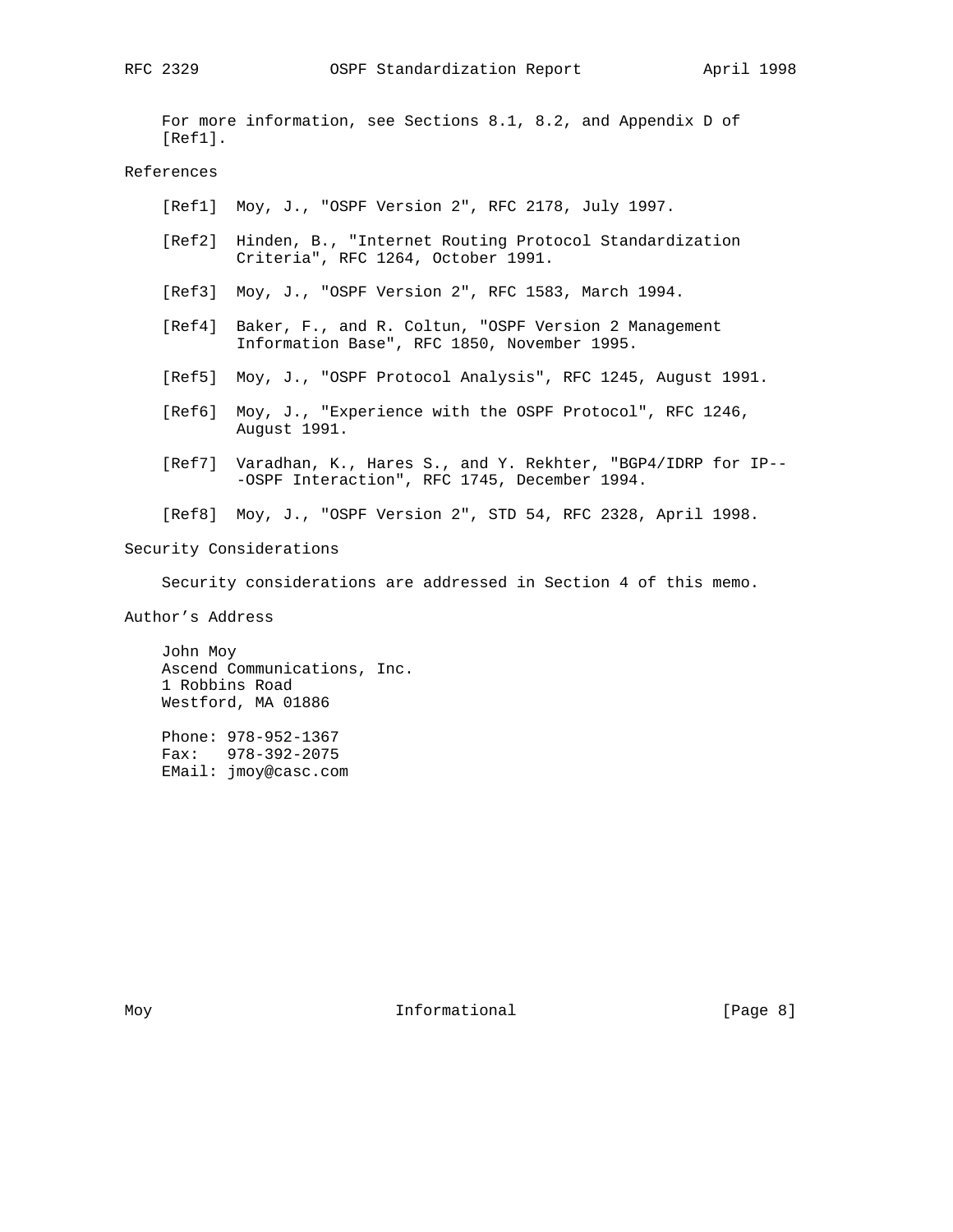For more information, see Sections 8.1, 8.2, and Appendix D of [Ref1].

### References

- [Ref1] Moy, J., "OSPF Version 2", RFC 2178, July 1997.
- [Ref2] Hinden, B., "Internet Routing Protocol Standardization Criteria", RFC 1264, October 1991.
- [Ref3] Moy, J., "OSPF Version 2", RFC 1583, March 1994.
- [Ref4] Baker, F., and R. Coltun, "OSPF Version 2 Management Information Base", RFC 1850, November 1995.
- [Ref5] Moy, J., "OSPF Protocol Analysis", RFC 1245, August 1991.
- [Ref6] Moy, J., "Experience with the OSPF Protocol", RFC 1246, August 1991.
- [Ref7] Varadhan, K., Hares S., and Y. Rekhter, "BGP4/IDRP for IP-- -OSPF Interaction", RFC 1745, December 1994.
- [Ref8] Moy, J., "OSPF Version 2", STD 54, RFC 2328, April 1998.

Security Considerations

Security considerations are addressed in Section 4 of this memo.

Author's Address

 John Moy Ascend Communications, Inc. 1 Robbins Road Westford, MA 01886

 Phone: 978-952-1367 Fax: 978-392-2075 EMail: jmoy@casc.com

Moy **Informational Informational Example 1 Page 8**